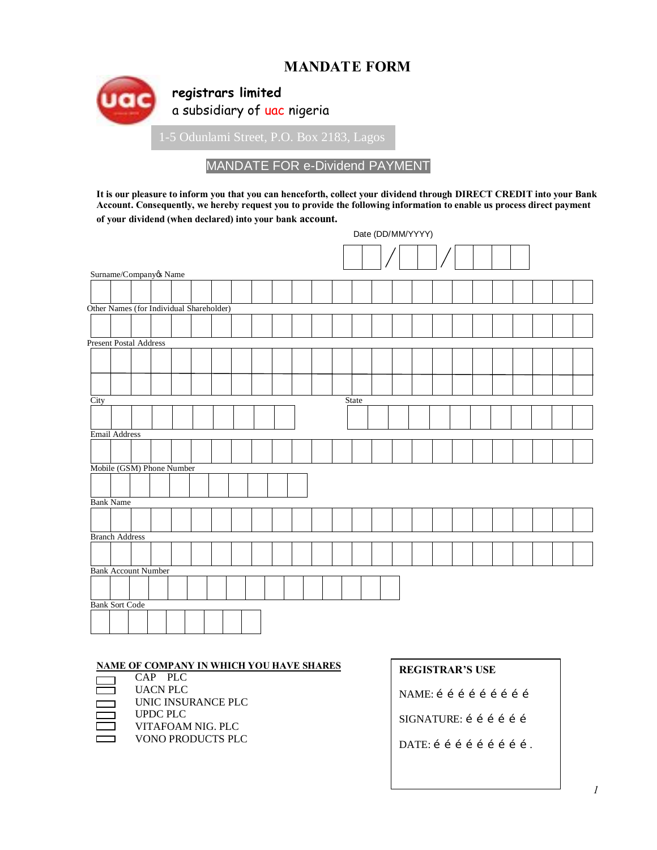# **MANDATE FORM**



## MANDATE FOR e-Dividend PAYMENT

**It is our pleasure to inform you that you can henceforth, collect your dividend through DIRECT CREDIT into your Bank Account. Consequently, we hereby request you to provide the following information to enable us process direct payment**  of your dividend (when declared) into your bank account.

|      |                                          |  |  |  |  |  |       | Date (DD/MM/YYYY) |  |  |  |  |  |
|------|------------------------------------------|--|--|--|--|--|-------|-------------------|--|--|--|--|--|
|      |                                          |  |  |  |  |  |       |                   |  |  |  |  |  |
|      | Surname/Companyøs Name                   |  |  |  |  |  |       |                   |  |  |  |  |  |
|      |                                          |  |  |  |  |  |       |                   |  |  |  |  |  |
|      | Other Names (for Individual Shareholder) |  |  |  |  |  |       |                   |  |  |  |  |  |
|      |                                          |  |  |  |  |  |       |                   |  |  |  |  |  |
|      |                                          |  |  |  |  |  |       |                   |  |  |  |  |  |
|      | <b>Present Postal Address</b>            |  |  |  |  |  |       |                   |  |  |  |  |  |
|      |                                          |  |  |  |  |  |       |                   |  |  |  |  |  |
|      |                                          |  |  |  |  |  |       |                   |  |  |  |  |  |
|      |                                          |  |  |  |  |  |       |                   |  |  |  |  |  |
| City |                                          |  |  |  |  |  | State |                   |  |  |  |  |  |
|      |                                          |  |  |  |  |  |       |                   |  |  |  |  |  |
|      |                                          |  |  |  |  |  |       |                   |  |  |  |  |  |
|      | Email Address                            |  |  |  |  |  |       |                   |  |  |  |  |  |
|      |                                          |  |  |  |  |  |       |                   |  |  |  |  |  |
|      | Mobile (GSM) Phone Number                |  |  |  |  |  |       |                   |  |  |  |  |  |
|      |                                          |  |  |  |  |  |       |                   |  |  |  |  |  |
|      |                                          |  |  |  |  |  |       |                   |  |  |  |  |  |
|      | <b>Bank Name</b>                         |  |  |  |  |  |       |                   |  |  |  |  |  |
|      |                                          |  |  |  |  |  |       |                   |  |  |  |  |  |
|      | <b>Branch Address</b>                    |  |  |  |  |  |       |                   |  |  |  |  |  |
|      |                                          |  |  |  |  |  |       |                   |  |  |  |  |  |
|      |                                          |  |  |  |  |  |       |                   |  |  |  |  |  |
|      | <b>Bank Account Number</b>               |  |  |  |  |  |       |                   |  |  |  |  |  |
|      |                                          |  |  |  |  |  |       |                   |  |  |  |  |  |
|      |                                          |  |  |  |  |  |       |                   |  |  |  |  |  |
|      | <b>Bank Sort Code</b>                    |  |  |  |  |  |       |                   |  |  |  |  |  |
|      |                                          |  |  |  |  |  |       |                   |  |  |  |  |  |
|      |                                          |  |  |  |  |  |       |                   |  |  |  |  |  |

#### **NAME OF COMPANY IN WHICH YOU HAVE SHARES**

- CAP PLC UACN PLC UNIC INSURANCE PLC
	- UPDC PLC
	- VITAFOAM NIG. PLC
- VONO PRODUCTS PLC

### **REGISTRAR'S USE**

NAME: í í í í í í í í í

SIGNATURE: í í í í í í

DATE: í í í í í í í í í .